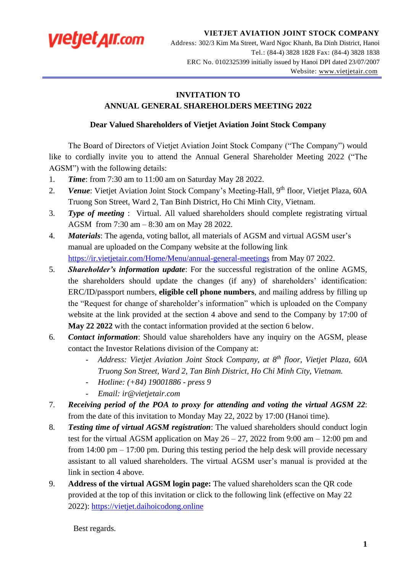

**VIETJET AVIATION JOINT STOCK COMPANY** Address: 302/3 Kim Ma Street, Ward Ngoc Khanh, Ba Dinh District, Hanoi Tel.: (84-4) 3828 1828 Fax: (84-4) 3828 1838 ERC No. 0102325399 initially issued by Hanoi DPI dated 23/07/2007

Website: www[.vietjetair.com](mailto:vietjetair.com)

## **INVITATION TO**

## **ANNUAL GENERAL SHAREHOLDERS MEETING 2022**

## **Dear Valued Shareholders of Vietjet Aviation Joint Stock Company**

The Board of Directors of Vietjet Aviation Joint Stock Company ("The Company") would like to cordially invite you to attend the Annual General Shareholder Meeting 2022 ("The AGSM") with the following details:

- 1. *Time*: from 7:30 am to 11:00 am on Saturday May 28 2022.
- 2. Venue: Vietjet Aviation Joint Stock Company's Meeting-Hall, 9<sup>th</sup> floor, Vietjet Plaza, 60A Truong Son Street, Ward 2, Tan Binh District, Ho Chi Minh City, Vietnam.
- 3. *Type of meeting* : Virtual. All valued shareholders should complete registrating virtual AGSM from 7:30 am – 8:30 am on May 28 2022.
- 4. *Materials*: The agenda, voting ballot, all materials of AGSM and virtual AGSM user's manual are uploaded on the Company website at the following link <https://ir.vietjetair.com/Home/Menu/annual-general-meetings> from May 07 2022.
- 5. *Shareholder's information update*: For the successful registration of the online AGMS, the shareholders should update the changes (if any) of shareholders' identification: ERC/ID/passport numbers, **eligible cell phone numbers**, and mailing address by filling up the "Request for change of shareholder's information" which is uploaded on the Company website at the link provided at the section 4 above and send to the Company by 17:00 of **May 22 2022** with the contact information provided at the section 6 below.
- 6. *Contact information*: Should value shareholders have any inquiry on the AGSM, please contact the Investor Relations division of the Company at:
	- *Address: Vietjet Aviation Joint Stock Company, at 8th floor, Vietjet Plaza, 60A Truong Son Street, Ward 2, Tan Binh District, Ho Chi Minh City, Vietnam.*
	- *Hotline: (+84) 19001886 - press 9*
	- *Email: ir@vietjetair.com*
- 7. *Receiving period of the POA to proxy for attending and voting the virtual AGSM 22*: from the date of this invitation to Monday May 22, 2022 by 17:00 (Hanoi time).
- 8. *Testing time of virtual AGSM registration*: The valued shareholders should conduct login test for the virtual AGSM application on May  $26 - 27$ , 2022 from 9:00 am  $- 12:00$  pm and from 14:00 pm – 17:00 pm. During this testing period the help desk will provide necessary assistant to all valued shareholders. The virtual AGSM user's manual is provided at the link in section 4 above.
- 9. **Address of the virtual AGSM login page:** The valued shareholders scan the QR code provided at the top of this invitation or click to the following link (effective on May 22 2022): [https://vietjet.daihoicodong.online](https://vietjet.daihoicodong.online/)

Best regards.